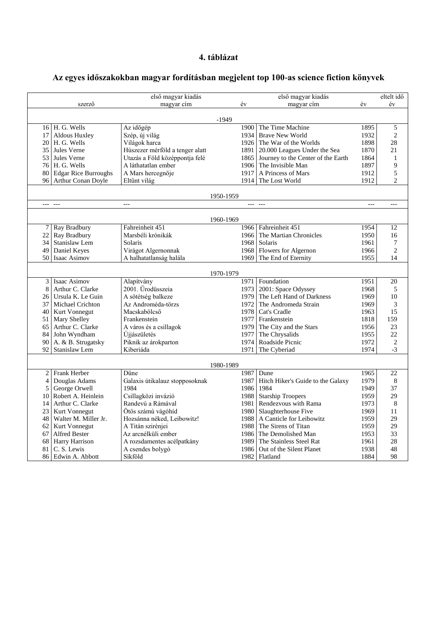## **4. táblázat**

## **Az egyes időszakokban magyar fordításban megjelent top 100-as science fiction könyvek**

|           |                                 | első magyar kiadás              |           |               | első magyar kiadás                      |       | eltelt idő     |  |  |  |  |  |
|-----------|---------------------------------|---------------------------------|-----------|---------------|-----------------------------------------|-------|----------------|--|--|--|--|--|
|           | szerző                          | magyar cím                      | év        |               | magyar cím                              | év    | év             |  |  |  |  |  |
|           |                                 |                                 |           |               |                                         |       |                |  |  |  |  |  |
| $-1949$   |                                 |                                 |           |               |                                         |       |                |  |  |  |  |  |
|           | 16 H. G. Wells                  | Az időgép                       | 1900      |               | The Time Machine                        | 1895  | 5              |  |  |  |  |  |
| 17        | Aldous Huxley                   | Szép, új világ                  |           |               | 1934 Brave New World                    | 1932  | $\overline{c}$ |  |  |  |  |  |
| 20        | H. G. Wells                     | Világok harca                   |           |               | 1926 The War of the Worlds              | 1898  | 28             |  |  |  |  |  |
| 35        | Jules Verne                     | Húszezer mérföld a tenger alatt |           |               | 1891 20.000 Leagues Under the Sea       | 1870  | 21             |  |  |  |  |  |
| 53        | Jules Verne                     | Utazás a Föld középpontja felé  |           |               | 1865 Journey to the Center of the Earth | 1864  | $\mathbf{1}$   |  |  |  |  |  |
| 76        | H. G. Wells                     | A láthatatlan ember             |           |               | 1906 The Invisible Man                  | 1897  | 9              |  |  |  |  |  |
| 80        | <b>Edgar Rice Burroughs</b>     | A Mars hercegnője               |           |               | 1917 A Princess of Mars                 | 1912  | 5              |  |  |  |  |  |
| 96        | Arthur Conan Doyle              | Eltűnt világ                    |           |               | 1914 The Lost World                     | 1912  | $\overline{c}$ |  |  |  |  |  |
|           |                                 |                                 |           |               |                                         |       |                |  |  |  |  |  |
|           |                                 |                                 | 1950-1959 |               |                                         |       |                |  |  |  |  |  |
| $---$     | $---$                           | $---$                           |           | $- - - - - -$ |                                         | $---$ | $---$          |  |  |  |  |  |
| 1960-1969 |                                 |                                 |           |               |                                         |       |                |  |  |  |  |  |
|           | Ray Bradbury<br>7               | Fahreinheit 451                 |           |               | 1966 Fahreinheit 451                    | 1954  | 12             |  |  |  |  |  |
| 22        | Ray Bradbury                    | Marsbéli krónikák               |           |               | 1966 The Martian Chronicles             | 1950  | 16             |  |  |  |  |  |
| 34        | Stanislaw Lem                   | Solaris                         |           |               | 1968 Solaris                            | 1961  | 7              |  |  |  |  |  |
| 49        | Daniel Keyes                    | Virágot Algernonnak             |           |               | 1968 Flowers for Algernon               | 1966  | $\overline{c}$ |  |  |  |  |  |
| 50        | Isaac Asimov                    | A halhatatlanság halála         |           |               | 1969 The End of Eternity                | 1955  | 14             |  |  |  |  |  |
|           |                                 |                                 |           |               |                                         |       |                |  |  |  |  |  |
|           |                                 |                                 | 1970-1979 |               |                                         |       |                |  |  |  |  |  |
|           | Isaac Asimov<br>3               | Alapítvány                      | 1971      |               | Foundation                              | 1951  | 20             |  |  |  |  |  |
|           | 8<br>Arthur C. Clarke           | 2001. Űrodüsszeia               |           |               | 1973   2001: Space Odyssey              | 1968  | 5              |  |  |  |  |  |
| 26        | Ursula K. Le Guin               | A sötétség balkeze              | 1979      |               | The Left Hand of Darkness               | 1969  | 10             |  |  |  |  |  |
| 37        | Michael Crichton                | Az Androméda-törzs              | 1972      |               | The Andromeda Strain                    | 1969  | 3              |  |  |  |  |  |
| 40        | Kurt Vonnegut                   | Macskabölcső                    | 1978      |               | Cat's Cradle                            | 1963  | 15             |  |  |  |  |  |
| 51        | Mary Shelley                    | Frankenstein                    | 1977      |               | Frankenstein                            | 1818  | 159            |  |  |  |  |  |
| 65        | Arthur C. Clarke                | A város és a csillagok          | 1979      |               | The City and the Stars                  | 1956  | 23             |  |  |  |  |  |
| 84        | John Wyndham                    | Újjászületés                    | 1977      |               | The Chrysalids                          | 1955  | 22             |  |  |  |  |  |
| 90        | A. & B. Strugatsky              | Piknik az árokparton            |           |               | 1974 Roadside Picnic                    | 1972  | $\overline{c}$ |  |  |  |  |  |
| 92        | Stanislaw Lem                   | Kiberiáda                       | 1971      |               | The Cyberiad                            | 1974  | $-3$           |  |  |  |  |  |
| 1980-1989 |                                 |                                 |           |               |                                         |       |                |  |  |  |  |  |
|           | Frank Herber<br>$\mathbf{2}$    | Dűne                            | 1987      |               | Dune                                    | 1965  | 22             |  |  |  |  |  |
|           | Douglas Adams<br>$\overline{4}$ | Galaxis útikalauz stopposoknak  | 1987      |               | Hitch Hiker's Guide to the Galaxy       | 1979  | 8              |  |  |  |  |  |
|           | 5<br>George Orwell              | 1984                            | 1986      |               | 1984                                    | 1949  | 37             |  |  |  |  |  |
| 10        | Robert A. Heinlein              | Csillagközi invázió             |           |               | 1988 Starship Troopers                  | 1959  | 29             |  |  |  |  |  |
| 14        | Arthur C. Clarke                | Randevú a Rámával               |           |               | 1981 Rendezvous with Rama               | 1973  | $\,8\,$        |  |  |  |  |  |
| 23        | Kurt Vonnegut                   | Ötös számú vágóhíd              |           |               | 1980 Slaughterhouse Five                | 1969  | 11             |  |  |  |  |  |
| 48        | Walter M. Miller Jr.            | Hozsánna néked, Leibowitz!      |           |               | 1988   A Canticle for Leibowitz         | 1959  | 29             |  |  |  |  |  |
| 62        | Kurt Vonnegut                   | A Titán szirénjei               | 1988      |               | The Sirens of Titan                     | 1959  | 29             |  |  |  |  |  |
| 67        | Alfred Bester                   | Az arcnélküli ember             |           |               | 1986 The Demolished Man                 | 1953  | 33             |  |  |  |  |  |
| 68        | Harry Harrison                  | A rozsdamentes acélpatkány      | 1989      |               | The Stainless Steel Rat                 | 1961  | 28             |  |  |  |  |  |
| 81        | C. S. Lewis                     | A csendes bolygó                | 1986      |               | Out of the Silent Planet                | 1938  | 48             |  |  |  |  |  |
| 86        | Edwin A. Abbott                 | Síkföld                         |           |               | 1982 Flatland                           | 1884  | 98             |  |  |  |  |  |